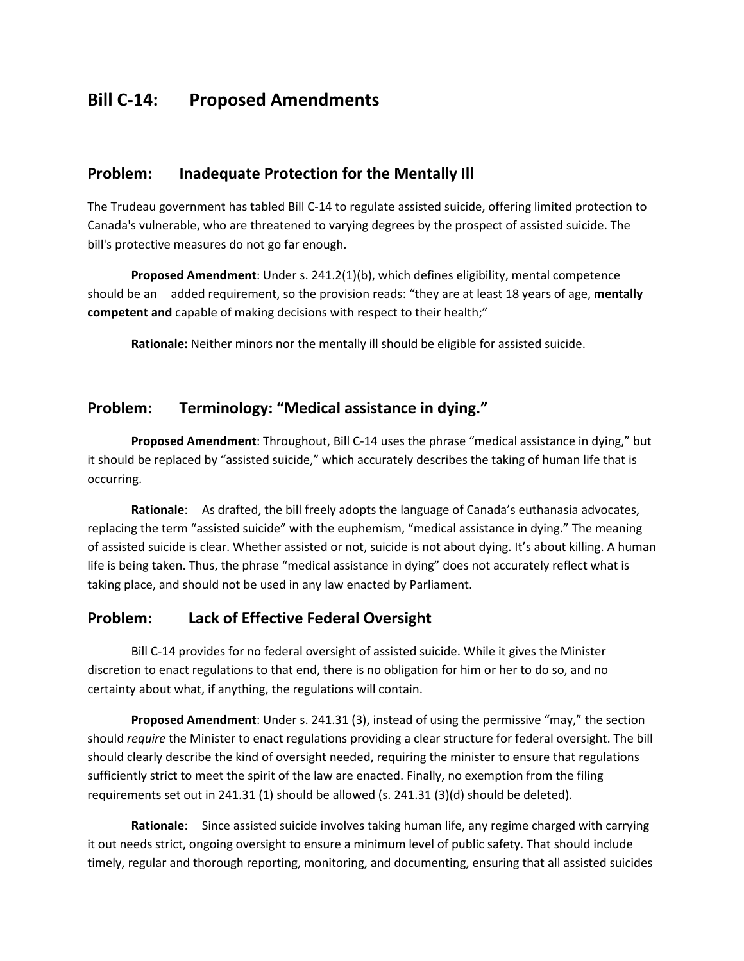# **Bill C-14: Proposed Amendments**

#### **Problem: Inadequate Protection for the Mentally Ill**

The Trudeau government has tabled Bill C-14 to regulate assisted suicide, offering limited protection to Canada's vulnerable, who are threatened to varying degrees by the prospect of assisted suicide. The bill's protective measures do not go far enough.

**Proposed Amendment:** Under s. 241.2(1)(b), which defines eligibility, mental competence should be an added requirement, so the provision reads: "they are at least 18 years of age, **mentally competent and** capable of making decisions with respect to their health;"

**Rationale:** Neither minors nor the mentally ill should be eligible for assisted suicide.

## **Problem: Terminology: "Medical assistance in dying."**

**Proposed Amendment**: Throughout, Bill C-14 uses the phrase "medical assistance in dying," but it should be replaced by "assisted suicide," which accurately describes the taking of human life that is occurring.

**Rationale**: As drafted, the bill freely adopts the language of Canada's euthanasia advocates, replacing the term "assisted suicide" with the euphemism, "medical assistance in dying." The meaning of assisted suicide is clear. Whether assisted or not, suicide is not about dying. It's about killing. A human life is being taken. Thus, the phrase "medical assistance in dying" does not accurately reflect what is taking place, and should not be used in any law enacted by Parliament.

#### **Problem: Lack of Effective Federal Oversight**

Bill C-14 provides for no federal oversight of assisted suicide. While it gives the Minister discretion to enact regulations to that end, there is no obligation for him or her to do so, and no certainty about what, if anything, the regulations will contain.

**Proposed Amendment**: Under s. 241.31 (3), instead of using the permissive "may," the section should *require* the Minister to enact regulations providing a clear structure for federal oversight. The bill should clearly describe the kind of oversight needed, requiring the minister to ensure that regulations sufficiently strict to meet the spirit of the law are enacted. Finally, no exemption from the filing requirements set out in 241.31 (1) should be allowed (s. 241.31 (3)(d) should be deleted).

**Rationale**: Since assisted suicide involves taking human life, any regime charged with carrying it out needs strict, ongoing oversight to ensure a minimum level of public safety. That should include timely, regular and thorough reporting, monitoring, and documenting, ensuring that all assisted suicides